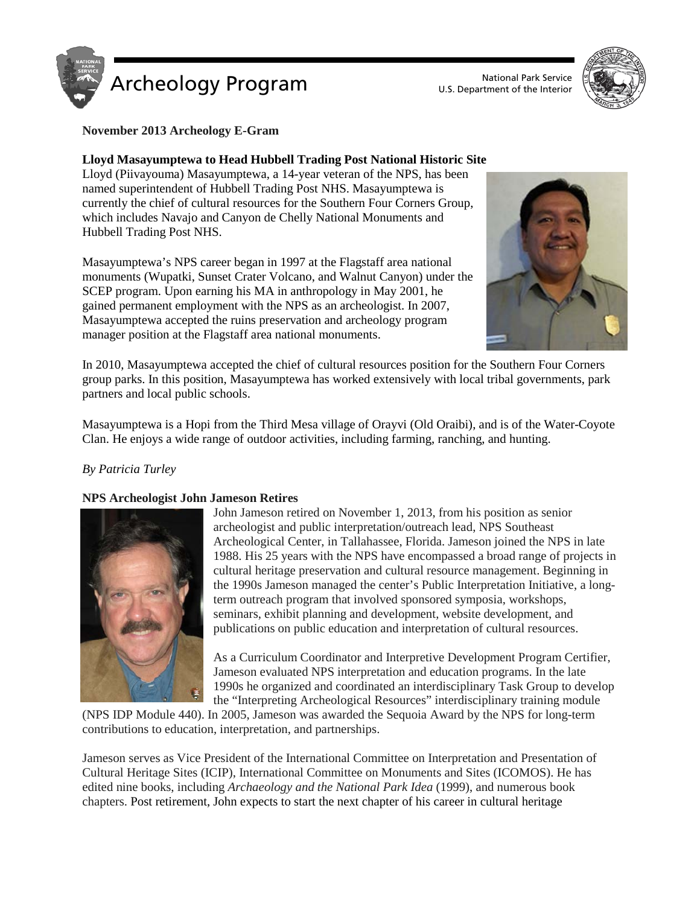

U.S. Department of the Interior



## **November 2013 Archeology E-Gram**

### **Lloyd Masayumptewa to Head Hubbell Trading Post National Historic Site**

Lloyd (Piivayouma) Masayumptewa, a 14-year veteran of the NPS, has been named superintendent of Hubbell Trading Post NHS. Masayumptewa is currently the chief of cultural resources for the Southern Four Corners Group, which includes Navajo and Canyon de Chelly National Monuments and Hubbell Trading Post NHS.

Masayumptewa's NPS career began in 1997 at the Flagstaff area national monuments (Wupatki, Sunset Crater Volcano, and Walnut Canyon) under the SCEP program. Upon earning his MA in anthropology in May 2001, he gained permanent employment with the NPS as an archeologist. In 2007, Masayumptewa accepted the ruins preservation and archeology program manager position at the Flagstaff area national monuments.



In 2010, Masayumptewa accepted the chief of cultural resources position for the Southern Four Corners group parks. In this position, Masayumptewa has worked extensively with local tribal governments, park partners and local public schools.

Masayumptewa is a Hopi from the Third Mesa village of Orayvi (Old Oraibi), and is of the Water-Coyote Clan. He enjoys a wide range of outdoor activities, including farming, ranching, and hunting.

#### *By Patricia Turley*

#### **NPS Archeologist John Jameson Retires**



John Jameson retired on November 1, 2013, from his position as senior archeologist and public interpretation/outreach lead, NPS Southeast Archeological Center, in Tallahassee, Florida. Jameson joined the NPS in late 1988. His 25 years with the NPS have encompassed a broad range of projects in cultural heritage preservation and cultural resource management. Beginning in the 1990s Jameson managed the center's Public Interpretation Initiative, a longterm outreach program that involved sponsored symposia, workshops, seminars, exhibit planning and development, website development, and publications on public education and interpretation of cultural resources.

As a Curriculum Coordinator and Interpretive Development Program Certifier, Jameson evaluated NPS interpretation and education programs. In the late 1990s he organized and coordinated an interdisciplinary Task Group to develop the "Interpreting Archeological Resources" interdisciplinary training module

(NPS IDP Module 440). In 2005, Jameson was awarded the Sequoia Award by the NPS for long-term contributions to education, interpretation, and partnerships.

Jameson serves as Vice President of the International Committee on Interpretation and Presentation of Cultural Heritage Sites (ICIP), International Committee on Monuments and Sites (ICOMOS). He has edited nine books, including *Archaeology and the National Park Idea* (1999), and numerous book chapters. Post retirement, John expects to start the next chapter of his career in cultural heritage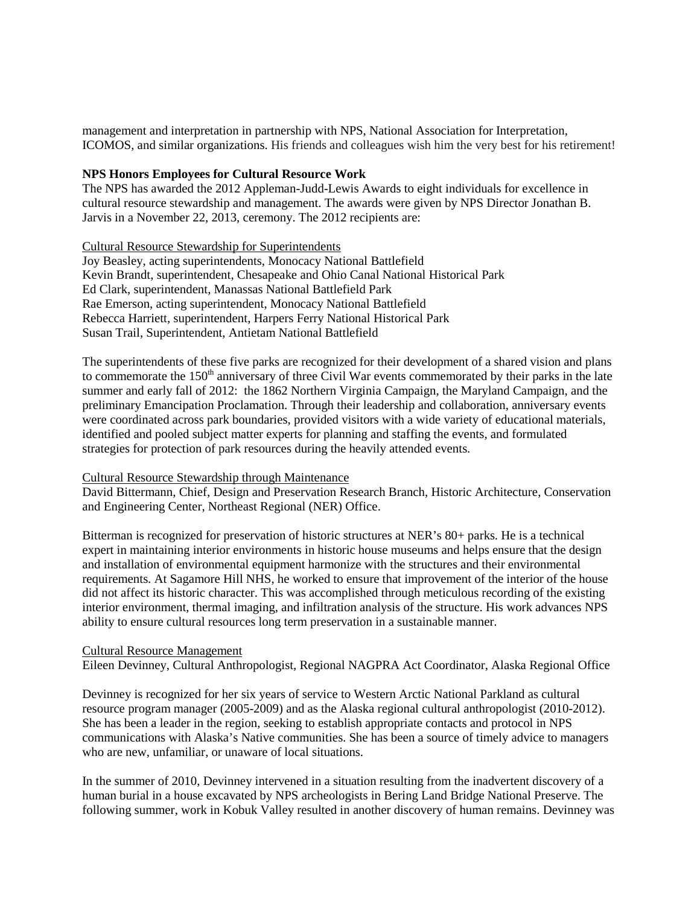management and interpretation in partnership with NPS, National Association for Interpretation, ICOMOS, and similar organizations. His friends and colleagues wish him the very best for his retirement!

#### **NPS Honors Employees for Cultural Resource Work**

The NPS has awarded the 2012 Appleman-Judd-Lewis Awards to eight individuals for excellence in cultural resource stewardship and management. The awards were given by NPS Director Jonathan B. Jarvis in a November 22, 2013, ceremony. The 2012 recipients are:

Cultural Resource Stewardship for Superintendents

Joy Beasley, acting superintendents, Monocacy National Battlefield Kevin Brandt, superintendent, Chesapeake and Ohio Canal National Historical Park Ed Clark, superintendent, Manassas National Battlefield Park Rae Emerson, acting superintendent, Monocacy National Battlefield Rebecca Harriett, superintendent, Harpers Ferry National Historical Park Susan Trail, Superintendent, Antietam National Battlefield

The superintendents of these five parks are recognized for their development of a shared vision and plans to commemorate the 150<sup>th</sup> anniversary of three Civil War events commemorated by their parks in the late summer and early fall of 2012: the 1862 Northern Virginia Campaign, the Maryland Campaign, and the preliminary Emancipation Proclamation. Through their leadership and collaboration, anniversary events were coordinated across park boundaries, provided visitors with a wide variety of educational materials, identified and pooled subject matter experts for planning and staffing the events, and formulated strategies for protection of park resources during the heavily attended events.

#### Cultural Resource Stewardship through Maintenance

David Bittermann, Chief, Design and Preservation Research Branch, Historic Architecture, Conservation and Engineering Center, Northeast Regional (NER) Office.

Bitterman is recognized for preservation of historic structures at NER's 80+ parks. He is a technical expert in maintaining interior environments in historic house museums and helps ensure that the design and installation of environmental equipment harmonize with the structures and their environmental requirements. At Sagamore Hill NHS, he worked to ensure that improvement of the interior of the house did not affect its historic character. This was accomplished through meticulous recording of the existing interior environment, thermal imaging, and infiltration analysis of the structure. His work advances NPS ability to ensure cultural resources long term preservation in a sustainable manner.

#### Cultural Resource Management

Eileen Devinney, Cultural Anthropologist, Regional NAGPRA Act Coordinator, Alaska Regional Office

Devinney is recognized for her six years of service to Western Arctic National Parkland as cultural resource program manager (2005-2009) and as the Alaska regional cultural anthropologist (2010-2012). She has been a leader in the region, seeking to establish appropriate contacts and protocol in NPS communications with Alaska's Native communities. She has been a source of timely advice to managers who are new, unfamiliar, or unaware of local situations.

In the summer of 2010, Devinney intervened in a situation resulting from the inadvertent discovery of a human burial in a house excavated by NPS archeologists in Bering Land Bridge National Preserve. The following summer, work in Kobuk Valley resulted in another discovery of human remains. Devinney was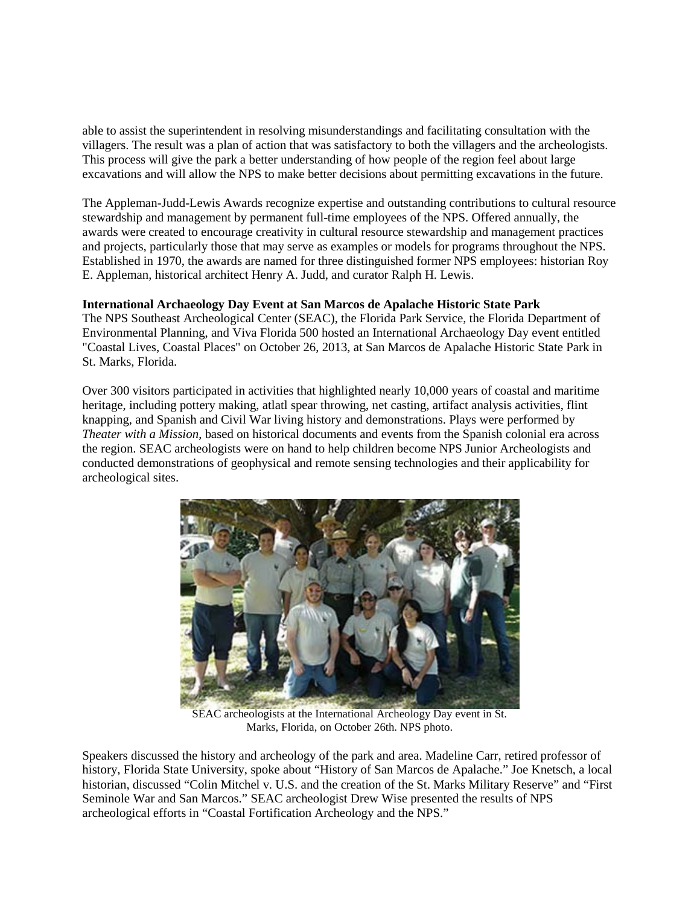able to assist the superintendent in resolving misunderstandings and facilitating consultation with the villagers. The result was a plan of action that was satisfactory to both the villagers and the archeologists. This process will give the park a better understanding of how people of the region feel about large excavations and will allow the NPS to make better decisions about permitting excavations in the future.

The Appleman-Judd-Lewis Awards recognize expertise and outstanding contributions to cultural resource stewardship and management by permanent full-time employees of the NPS. Offered annually, the awards were created to encourage creativity in cultural resource stewardship and management practices and projects, particularly those that may serve as examples or models for programs throughout the NPS. Established in 1970, the awards are named for three distinguished former NPS employees: historian Roy E. Appleman, historical architect Henry A. Judd, and curator Ralph H. Lewis.

### **International Archaeology Day Event at San Marcos de Apalache Historic State Park**

The NPS Southeast Archeological Center (SEAC), the Florida Park Service, the Florida Department of Environmental Planning, and Viva Florida 500 hosted an International Archaeology Day event entitled "Coastal Lives, Coastal Places" on October 26, 2013, at San Marcos de Apalache Historic State Park in St. Marks, Florida.

Over 300 visitors participated in activities that highlighted nearly 10,000 years of coastal and maritime heritage, including pottery making, atlatl spear throwing, net casting, artifact analysis activities, flint knapping, and Spanish and Civil War living history and demonstrations. Plays were performed by *Theater with a Mission*, based on historical documents and events from the Spanish colonial era across the region. SEAC archeologists were on hand to help children become NPS Junior Archeologists and conducted demonstrations of geophysical and remote sensing technologies and their applicability for archeological sites.



SEAC archeologists at the International Archeology Day event in St. Marks, Florida, on October 26th. NPS photo.

Speakers discussed the history and archeology of the park and area. Madeline Carr, retired professor of history, Florida State University, spoke about "History of San Marcos de Apalache." Joe Knetsch, a local historian, discussed "Colin Mitchel v. U.S. and the creation of the St. Marks Military Reserve" and "First Seminole War and San Marcos." SEAC archeologist Drew Wise presented the results of NPS archeological efforts in "Coastal Fortification Archeology and the NPS."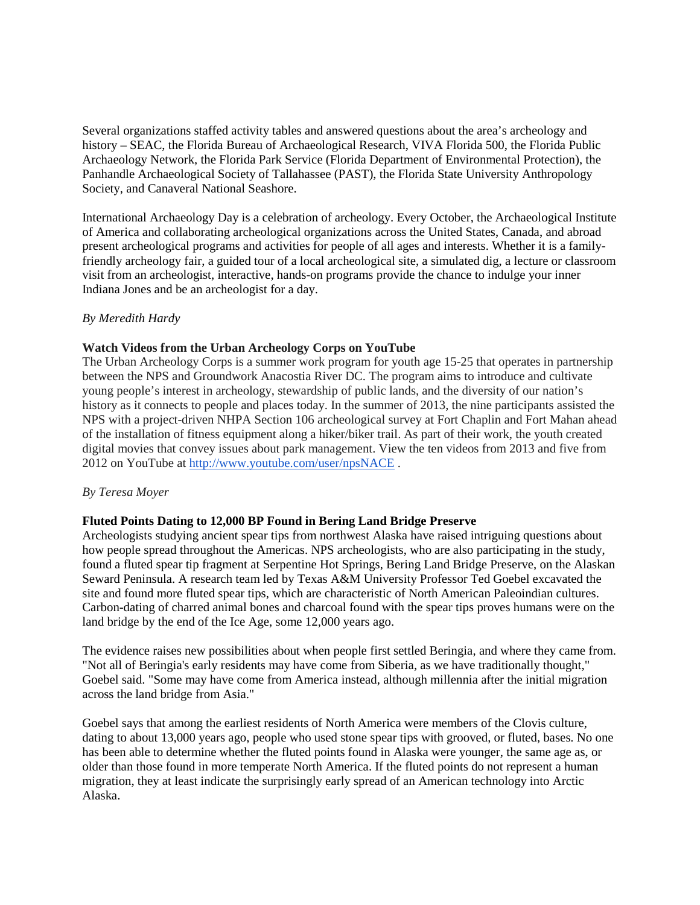Several organizations staffed activity tables and answered questions about the area's archeology and history – SEAC, the Florida Bureau of Archaeological Research, VIVA Florida 500, the Florida Public Archaeology Network, the Florida Park Service (Florida Department of Environmental Protection), the Panhandle Archaeological Society of Tallahassee (PAST), the Florida State University Anthropology Society, and Canaveral National Seashore.

International Archaeology Day is a celebration of archeology. Every October, the Archaeological Institute of America and collaborating archeological organizations across the United States, Canada, and abroad present archeological programs and activities for people of all ages and interests. Whether it is a familyfriendly archeology fair, a guided tour of a local archeological site, a simulated dig, a lecture or classroom visit from an archeologist, interactive, hands-on programs provide the chance to indulge your inner Indiana Jones and be an archeologist for a day.

# *By Meredith Hardy*

## **Watch Videos from the Urban Archeology Corps on YouTube**

The Urban Archeology Corps is a summer work program for youth age 15-25 that operates in partnership between the NPS and Groundwork Anacostia River DC. The program aims to introduce and cultivate young people's interest in archeology, stewardship of public lands, and the diversity of our nation's history as it connects to people and places today. In the summer of 2013, the nine participants assisted the NPS with a project-driven NHPA Section 106 archeological survey at Fort Chaplin and Fort Mahan ahead of the installation of fitness equipment along a hiker/biker trail. As part of their work, the youth created digital movies that convey issues about park management. View the ten videos from 2013 and five from 2012 on YouTube at <http://www.youtube.com/user/npsNACE> .

## *By Teresa Moyer*

## **Fluted Points Dating to 12,000 BP Found in Bering Land Bridge Preserve**

Archeologists studying ancient spear tips from northwest Alaska have raised intriguing questions about how people spread throughout the Americas. NPS archeologists, who are also participating in the study, found a fluted spear tip fragment at Serpentine Hot Springs, Bering Land Bridge Preserve, on the Alaskan Seward Peninsula. A research team led by Texas A&M University Professor Ted Goebel excavated the site and found more fluted spear tips, which are characteristic of North American Paleoindian cultures. Carbon-dating of charred animal bones and charcoal found with the spear tips proves humans were on the land bridge by the end of the Ice Age, some 12,000 years ago.

The evidence raises new possibilities about when people first settled Beringia, and where they came from. "Not all of Beringia's early residents may have come from Siberia, as we have traditionally thought," Goebel said. "Some may have come from America instead, although millennia after the initial migration across the land bridge from Asia."

Goebel says that among the earliest residents of North America were members of the Clovis culture, dating to about 13,000 years ago, people who used stone spear tips with grooved, or fluted, bases. No one has been able to determine whether the fluted points found in Alaska were younger, the same age as, or older than those found in more temperate North America. If the fluted points do not represent a human migration, they at least indicate the surprisingly early spread of an American technology into Arctic Alaska.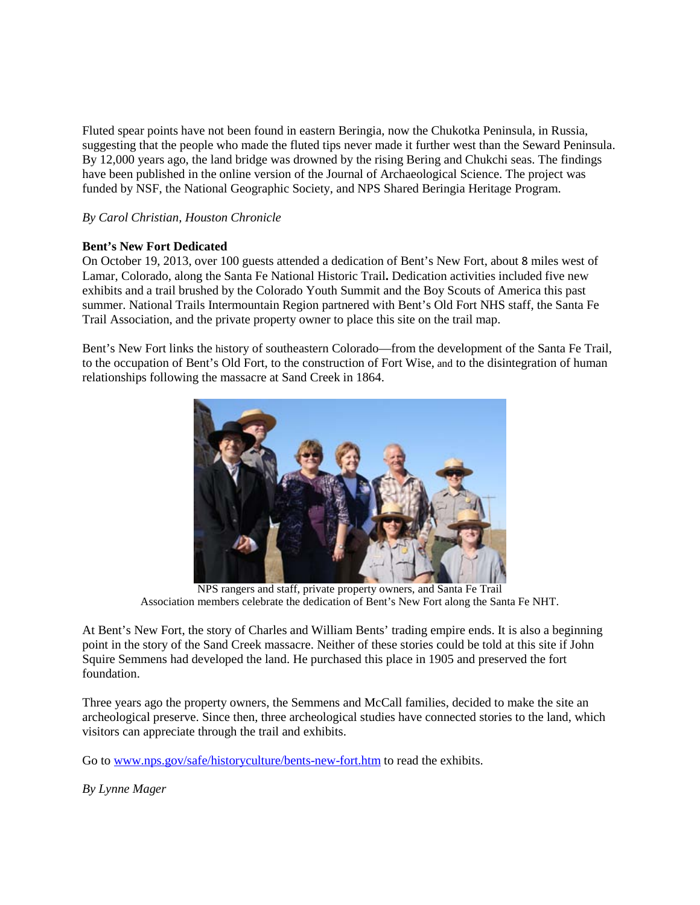Fluted spear points have not been found in eastern Beringia, now the Chukotka Peninsula, in Russia, suggesting that the people who made the fluted tips never made it further west than the Seward Peninsula. By 12,000 years ago, the land bridge was drowned by the rising Bering and Chukchi seas. The findings have been published in the online version of the Journal of Archaeological Science. The project was funded by NSF, the National Geographic Society, and NPS Shared Beringia Heritage Program.

# *By Carol Christian, Houston Chronicle*

## **Bent's New Fort Dedicated**

On October 19, 2013, over 100 guests attended a dedication of Bent's New Fort, about 8 miles west of Lamar, Colorado, along the Santa Fe National Historic Trail**.** Dedication activities included five new exhibits and a trail brushed by the Colorado Youth Summit and the Boy Scouts of America this past summer. National Trails Intermountain Region partnered with Bent's Old Fort NHS staff, the Santa Fe Trail Association, and the private property owner to place this site on the trail map.

Bent's New Fort links the history of southeastern Colorado—from the development of the Santa Fe Trail, to the occupation of Bent's Old Fort, to the construction of Fort Wise, and to the disintegration of human relationships following the massacre at Sand Creek in 1864.



NPS rangers and staff, private property owners, and Santa Fe Trail Association members celebrate the dedication of Bent's New Fort along the Santa Fe NHT.

At Bent's New Fort, the story of Charles and William Bents' trading empire ends. It is also a beginning point in the story of the Sand Creek massacre. Neither of these stories could be told at this site if John Squire Semmens had developed the land. He purchased this place in 1905 and preserved the fort foundation.

Three years ago the property owners, the Semmens and McCall families, decided to make the site an archeological preserve. Since then, three archeological studies have connected stories to the land, which visitors can appreciate through the trail and exhibits.

Go to [www.nps.gov/safe/historyculture/bents-new-fort.htm](http://www.nps.gov/safe/historyculture/bents-new-fort.htm) to read the exhibits.

*By Lynne Mager*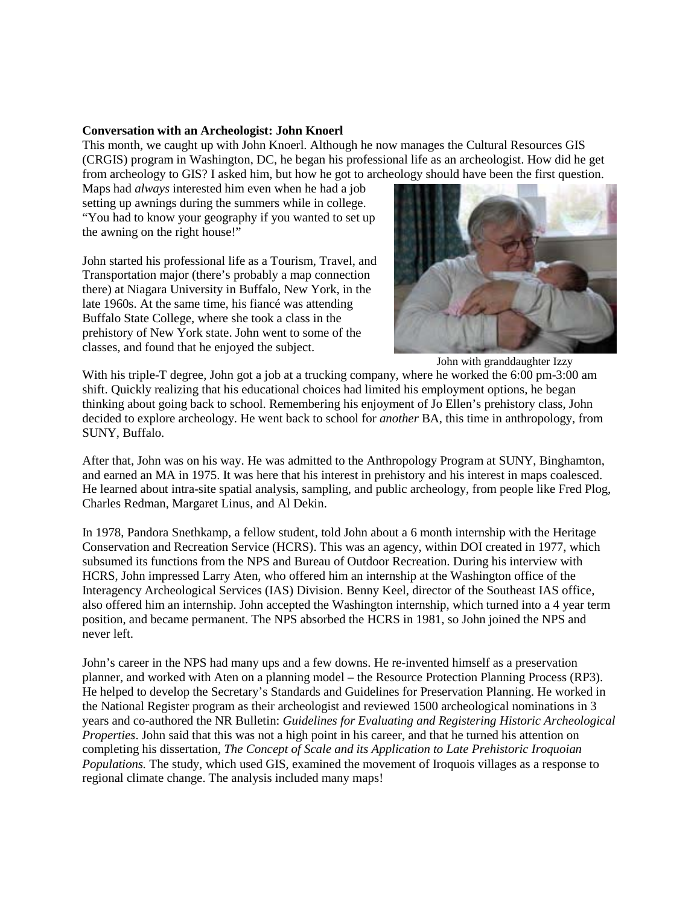#### **Conversation with an Archeologist: John Knoerl**

This month, we caught up with John Knoerl. Although he now manages the Cultural Resources GIS (CRGIS) program in Washington, DC, he began his professional life as an archeologist. How did he get from archeology to GIS? I asked him, but how he got to archeology should have been the first question.

Maps had *always* interested him even when he had a job setting up awnings during the summers while in college. "You had to know your geography if you wanted to set up the awning on the right house!"

John started his professional life as a Tourism, Travel, and Transportation major (there's probably a map connection there) at Niagara University in Buffalo, New York, in the late 1960s. At the same time, his fiancé was attending Buffalo State College, where she took a class in the prehistory of New York state. John went to some of the classes, and found that he enjoyed the subject.



John with granddaughter Izzy

With his triple-T degree, John got a job at a trucking company, where he worked the 6:00 pm-3:00 am shift. Quickly realizing that his educational choices had limited his employment options, he began thinking about going back to school. Remembering his enjoyment of Jo Ellen's prehistory class, John decided to explore archeology. He went back to school for *another* BA, this time in anthropology, from SUNY, Buffalo.

After that, John was on his way. He was admitted to the Anthropology Program at SUNY, Binghamton, and earned an MA in 1975. It was here that his interest in prehistory and his interest in maps coalesced. He learned about intra-site spatial analysis, sampling, and public archeology, from people like Fred Plog, Charles Redman, Margaret Linus, and Al Dekin.

In 1978, Pandora Snethkamp, a fellow student, told John about a 6 month internship with the Heritage Conservation and Recreation Service (HCRS). This was an agency, within DOI created in 1977, which subsumed its functions from the NPS and Bureau of Outdoor Recreation. During his interview with HCRS, John impressed Larry Aten, who offered him an internship at the Washington office of the Interagency Archeological Services (IAS) Division. Benny Keel, director of the Southeast IAS office, also offered him an internship. John accepted the Washington internship, which turned into a 4 year term position, and became permanent. The NPS absorbed the HCRS in 1981, so John joined the NPS and never left.

John's career in the NPS had many ups and a few downs. He re-invented himself as a preservation planner, and worked with Aten on a planning model – the Resource Protection Planning Process (RP3). He helped to develop the Secretary's Standards and Guidelines for Preservation Planning. He worked in the National Register program as their archeologist and reviewed 1500 archeological nominations in 3 years and co-authored the NR Bulletin: *Guidelines for Evaluating and Registering Historic Archeological Properties*. John said that this was not a high point in his career, and that he turned his attention on completing his dissertation, *The Concept of Scale and its Application to Late Prehistoric Iroquoian Populations.* The study, which used GIS, examined the movement of Iroquois villages as a response to regional climate change. The analysis included many maps!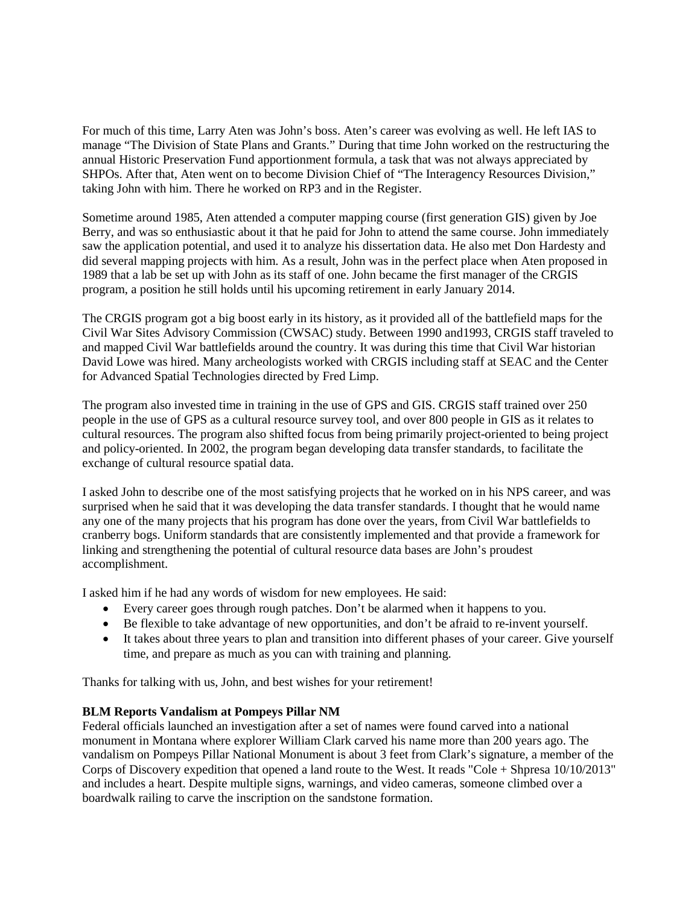For much of this time, Larry Aten was John's boss. Aten's career was evolving as well. He left IAS to manage "The Division of State Plans and Grants." During that time John worked on the restructuring the annual Historic Preservation Fund apportionment formula, a task that was not always appreciated by SHPOs. After that, Aten went on to become Division Chief of "The Interagency Resources Division," taking John with him. There he worked on RP3 and in the Register.

Sometime around 1985, Aten attended a computer mapping course (first generation GIS) given by Joe Berry, and was so enthusiastic about it that he paid for John to attend the same course. John immediately saw the application potential, and used it to analyze his dissertation data. He also met Don Hardesty and did several mapping projects with him. As a result, John was in the perfect place when Aten proposed in 1989 that a lab be set up with John as its staff of one. John became the first manager of the CRGIS program, a position he still holds until his upcoming retirement in early January 2014.

The CRGIS program got a big boost early in its history, as it provided all of the battlefield maps for the Civil War Sites Advisory Commission (CWSAC) study. Between 1990 and1993, CRGIS staff traveled to and mapped Civil War battlefields around the country. It was during this time that Civil War historian David Lowe was hired. Many archeologists worked with CRGIS including staff at SEAC and the Center for Advanced Spatial Technologies directed by Fred Limp.

The program also invested time in training in the use of GPS and GIS. CRGIS staff trained over 250 people in the use of GPS as a cultural resource survey tool, and over 800 people in GIS as it relates to cultural resources. The program also shifted focus from being primarily project-oriented to being project and policy-oriented. In 2002, the program began developing data transfer standards, to facilitate the exchange of cultural resource spatial data.

I asked John to describe one of the most satisfying projects that he worked on in his NPS career, and was surprised when he said that it was developing the data transfer standards. I thought that he would name any one of the many projects that his program has done over the years, from Civil War battlefields to cranberry bogs. Uniform standards that are consistently implemented and that provide a framework for linking and strengthening the potential of cultural resource data bases are John's proudest accomplishment.

I asked him if he had any words of wisdom for new employees. He said:

- Every career goes through rough patches. Don't be alarmed when it happens to you.
- Be flexible to take advantage of new opportunities, and don't be afraid to re-invent yourself.
- It takes about three years to plan and transition into different phases of your career. Give yourself time, and prepare as much as you can with training and planning.

Thanks for talking with us, John, and best wishes for your retirement!

## **BLM Reports Vandalism at Pompeys Pillar NM**

Federal officials launched an investigation after a set of names were found carved into a national monument in Montana where explorer William Clark carved his name more than 200 years ago. The vandalism on Pompeys Pillar National Monument is about 3 feet from Clark's signature, a member of the Corps of Discovery expedition that opened a land route to the West. It reads "Cole + Shpresa 10/10/2013" and includes a heart. Despite multiple signs, warnings, and video cameras, someone climbed over a boardwalk railing to carve the inscription on the sandstone formation.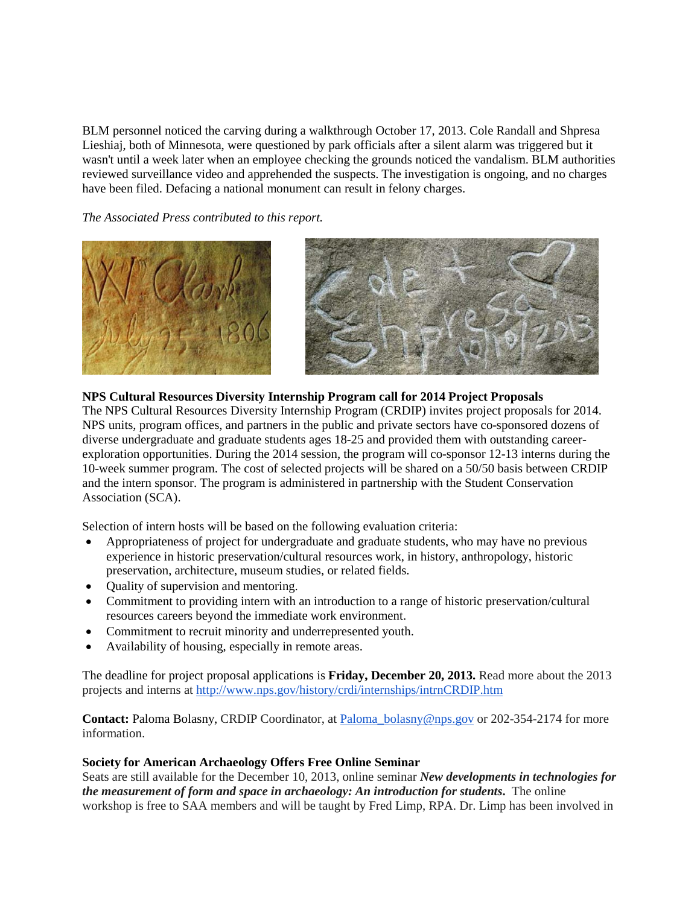BLM personnel noticed the carving during a walkthrough October 17, 2013. Cole Randall and Shpresa Lieshiaj, both of Minnesota, were questioned by park officials after a silent alarm was triggered but it wasn't until a week later when an employee checking the grounds noticed the vandalism. BLM authorities reviewed surveillance video and apprehended the suspects. The investigation is ongoing, and no charges have been filed. Defacing a national monument can result in felony charges.

*The Associated Press contributed to this report.*



# **NPS Cultural Resources Diversity Internship Program call for 2014 Project Proposals**

The NPS Cultural Resources Diversity Internship Program (CRDIP) invites project proposals for 2014. NPS units, program offices, and partners in the public and private sectors have co-sponsored dozens of diverse undergraduate and graduate students ages 18-25 and provided them with outstanding careerexploration opportunities. During the 2014 session, the program will co-sponsor 12-13 interns during the 10-week summer program. The cost of selected projects will be shared on a 50/50 basis between CRDIP and the intern sponsor. The program is administered in partnership with the Student Conservation Association (SCA).

Selection of intern hosts will be based on the following evaluation criteria:

- Appropriateness of project for undergraduate and graduate students, who may have no previous experience in historic preservation/cultural resources work, in history, anthropology, historic preservation, architecture, museum studies, or related fields.
- Quality of supervision and mentoring.
- Commitment to providing intern with an introduction to a range of historic preservation/cultural resources careers beyond the immediate work environment.
- Commitment to recruit minority and underrepresented youth.
- Availability of housing, especially in remote areas.

The deadline for project proposal applications is **Friday, December 20, 2013.** Read more about the 2013 projects and interns at <http://www.nps.gov/history/crdi/internships/intrnCRDIP.htm>

Contact: Paloma Bolasny, CRDIP Coordinator, at [Paloma\\_bolasny@nps.gov](mailto:Paloma_bolasny@nps.gov) or 202-354-2174 for more information.

## **Society for American Archaeology Offers Free Online Seminar**

Seats are still available for the December 10, 2013, online seminar *New developments in technologies for the measurement of form and space in archaeology: An introduction for students***.** The online workshop is free to SAA members and will be taught by Fred Limp, RPA. Dr. Limp has been involved in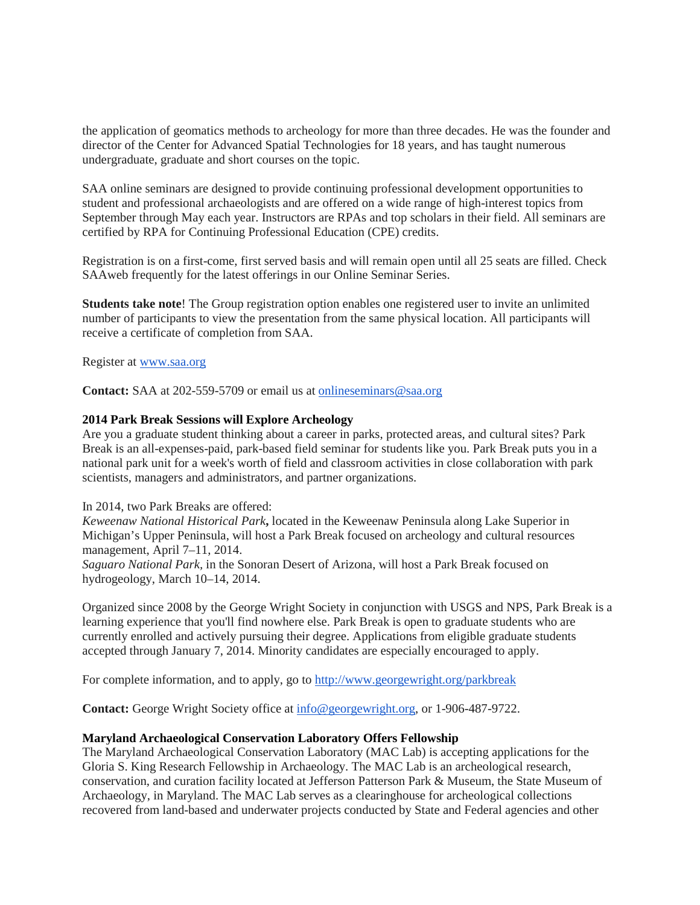the application of geomatics methods to archeology for more than three decades. He was the founder and director of the Center for Advanced Spatial Technologies for 18 years, and has taught numerous undergraduate, graduate and short courses on the topic.

SAA online seminars are designed to provide continuing professional development opportunities to student and professional archaeologists and are offered on a wide range of high-interest topics from September through May each year. Instructors are RPAs and top scholars in their field. All seminars are certified by RPA for Continuing Professional Education (CPE) credits.

Registration is on a first-come, first served basis and will remain open until all 25 seats are filled. Check SAAweb frequently for the latest offerings in our Online Seminar Series.

**Students take note**! The Group registration option enables one registered user to invite an unlimited number of participants to view the presentation from the same physical location. All participants will receive a certificate of completion from SAA.

Register at [www.saa.org](http://www.saa.org/)

**Contact:** SAA at 202-559-5709 or email us at [onlineseminars@saa.org](mailto:onlineseminars@saa.org)

### **2014 Park Break Sessions will Explore Archeology**

Are you a graduate student thinking about a career in parks, protected areas, and cultural sites? Park Break is an all-expenses-paid, park-based field seminar for students like you. Park Break puts you in a national park unit for a week's worth of field and classroom activities in close collaboration with park scientists, managers and administrators, and partner organizations.

#### In 2014, two Park Breaks are offered:

*Keweenaw National Historical Park***,** located in the Keweenaw Peninsula along Lake Superior in Michigan's Upper Peninsula, will host a Park Break focused on archeology and cultural resources management, April 7–11, 2014. *Saguaro National Park,* in the Sonoran Desert of Arizona, will host a Park Break focused on

hydrogeology, March 10–14, 2014.

Organized since 2008 by the George Wright Society in conjunction with USGS and NPS, Park Break is a learning experience that you'll find nowhere else. Park Break is open to graduate students who are currently enrolled and actively pursuing their degree. Applications from eligible graduate students accepted through January 7, 2014. Minority candidates are especially encouraged to apply.

For complete information, and to apply, go to<http://www.georgewright.org/parkbreak>

**Contact:** George Wright Society office at [info@georgewright.org,](mailto:info@georgewright.org) or 1-906-487-9722.

#### **Maryland Archaeological Conservation Laboratory Offers Fellowship**

The Maryland Archaeological Conservation Laboratory (MAC Lab) is accepting applications for the Gloria S. King Research Fellowship in Archaeology. The MAC Lab is an archeological research, conservation, and curation facility located at Jefferson Patterson Park & Museum, the State Museum of Archaeology, in Maryland. The MAC Lab serves as a clearinghouse for archeological collections recovered from land-based and underwater projects conducted by State and Federal agencies and other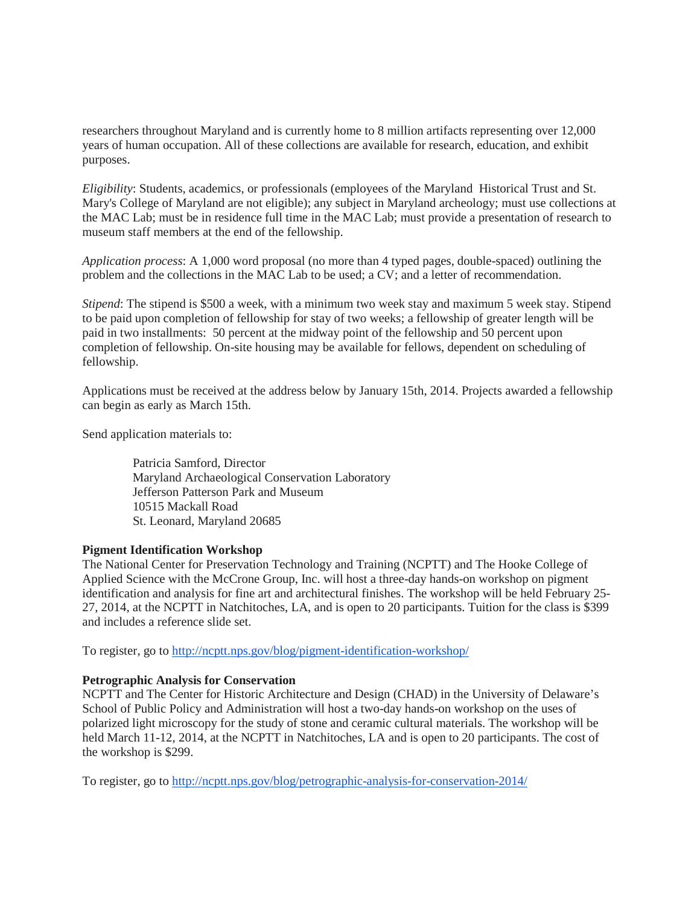researchers throughout Maryland and is currently home to 8 million artifacts representing over 12,000 years of human occupation. All of these collections are available for research, education, and exhibit purposes.

*Eligibility*: Students, academics, or professionals (employees of the Maryland Historical Trust and St. Mary's College of Maryland are not eligible); any subject in Maryland archeology; must use collections at the MAC Lab; must be in residence full time in the MAC Lab; must provide a presentation of research to museum staff members at the end of the fellowship.

*Application process*: A 1,000 word proposal (no more than 4 typed pages, double-spaced) outlining the problem and the collections in the MAC Lab to be used; a CV; and a letter of recommendation.

*Stipend*: The stipend is \$500 a week, with a minimum two week stay and maximum 5 week stay. Stipend to be paid upon completion of fellowship for stay of two weeks; a fellowship of greater length will be paid in two installments: 50 percent at the midway point of the fellowship and 50 percent upon completion of fellowship. On-site housing may be available for fellows, dependent on scheduling of fellowship.

Applications must be received at the address below by January 15th, 2014. Projects awarded a fellowship can begin as early as March 15th.

Send application materials to:

Patricia Samford, Director Maryland Archaeological Conservation Laboratory Jefferson Patterson Park and Museum 10515 Mackall Road St. Leonard, Maryland 20685

#### **Pigment Identification Workshop**

The National Center for Preservation Technology and Training (NCPTT) and The Hooke College of Applied Science with the McCrone Group, Inc. will host a three-day hands-on workshop on pigment identification and analysis for fine art and architectural finishes. The workshop will be held February 25- 27, 2014, at the NCPTT in Natchitoches, LA, and is open to 20 participants. Tuition for the class is \$399 and includes a reference slide set.

To register, go to<http://ncptt.nps.gov/blog/pigment-identification-workshop/>

## **Petrographic Analysis for Conservation**

NCPTT and The Center for Historic Architecture and Design (CHAD) in the University of Delaware's School of Public Policy and Administration will host a two-day hands-on workshop on the uses of polarized light microscopy for the study of stone and ceramic cultural materials. The workshop will be held March 11-12, 2014, at the NCPTT in Natchitoches, LA and is open to 20 participants. The cost of the workshop is \$299.

To register, go to <http://ncptt.nps.gov/blog/petrographic-analysis-for-conservation-2014/>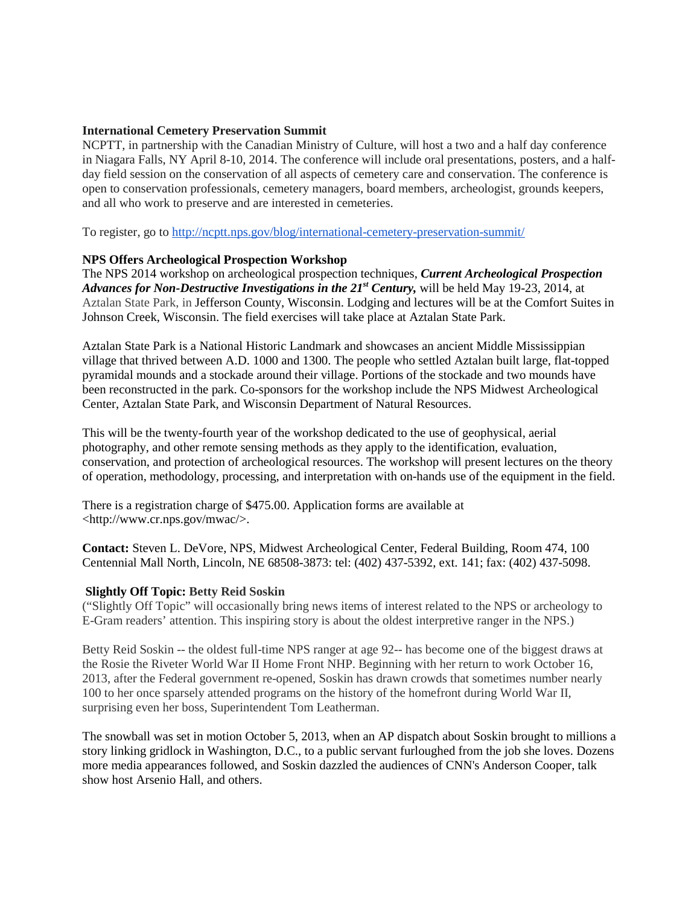### **International Cemetery Preservation Summit**

NCPTT, in partnership with the Canadian Ministry of Culture, will host a two and a half day conference in Niagara Falls, NY April 8-10, 2014. The conference will include oral presentations, posters, and a halfday field session on the conservation of all aspects of cemetery care and conservation. The conference is open to conservation professionals, cemetery managers, board members, archeologist, grounds keepers, and all who work to preserve and are interested in cemeteries.

To register, go to<http://ncptt.nps.gov/blog/international-cemetery-preservation-summit/>

### **NPS Offers Archeological Prospection Workshop**

The NPS 2014 workshop on archeological prospection techniques, *Current Archeological Prospection*  Advances for Non-Destructive Investigations in the 21<sup>st</sup> Century, will be held May 19-23, 2014, at Aztalan State Park, in Jefferson County, Wisconsin. Lodging and lectures will be at the Comfort Suites in Johnson Creek, Wisconsin. The field exercises will take place at Aztalan State Park.

Aztalan State Park is a National Historic Landmark and showcases an ancient Middle Mississippian village that thrived between A.D. 1000 and 1300. The people who settled Aztalan built large, flat-topped pyramidal mounds and a stockade around their village. Portions of the stockade and two mounds have been reconstructed in the park. Co-sponsors for the workshop include the NPS Midwest Archeological Center, Aztalan State Park, and Wisconsin Department of Natural Resources.

This will be the twenty-fourth year of the workshop dedicated to the use of geophysical, aerial photography, and other remote sensing methods as they apply to the identification, evaluation, conservation, and protection of archeological resources. The workshop will present lectures on the theory of operation, methodology, processing, and interpretation with on-hands use of the equipment in the field.

There is a registration charge of \$475.00. Application forms are available at <http://www.cr.nps.gov/mwac/>.

**Contact:** Steven L. DeVore, NPS, Midwest Archeological Center, Federal Building, Room 474, 100 Centennial Mall North, Lincoln, NE 68508-3873: tel: (402) 437-5392, ext. 141; fax: (402) 437-5098.

## **Slightly Off Topic: Betty Reid Soskin**

("Slightly Off Topic" will occasionally bring news items of interest related to the NPS or archeology to E-Gram readers' attention. This inspiring story is about the oldest interpretive ranger in the NPS.)

Betty Reid Soskin -- the oldest full-time NPS ranger at age 92-- has become one of the biggest draws at the Rosie the Riveter World War II Home Front NHP. Beginning with her return to work October 16, 2013, after the Federal government re-opened, Soskin has drawn crowds that sometimes number nearly 100 to her once sparsely attended programs on the history of the homefront during World War II, surprising even her boss, Superintendent Tom Leatherman.

The snowball was set in motion October 5, 2013, when an AP dispatch about Soskin brought to millions a story linking gridlock in Washington, D.C., to a public servant furloughed from the job she loves. Dozens more media appearances followed, and Soskin dazzled the audiences of CNN's Anderson Cooper, talk show host Arsenio Hall, and others.